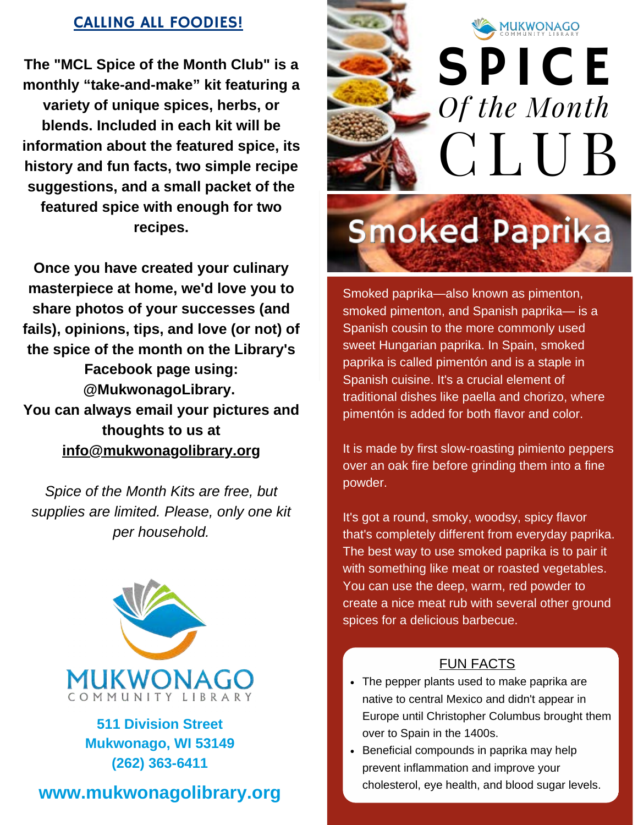# CALLING ALL FOODIES!

**The "MCL Spice of the Month Club" is a monthly "take-and-make" kit featuring a variety of unique spices, herbs, or blends. Included in each kit will be information about the featured spice, its history and fun facts, two simple recipe suggestions, and a small packet of the featured spice with enough for two recipes.**

**Once you have created your culinary masterpiece at home, we'd love you to share photos of your successes (and fails), opinions, tips, and love (or not) of the spice of the month on the Library's Facebook page using: @MukwonagoLibrary. You can always email your pictures and thoughts to us at info@mukwonagolibrary.org**

*Spice of the Month Kits are free, but supplies are limited. Please, only one kit per household.*



**511 Division Street Mukwonago, WI 53149 (262) 363-6411**





# **Smoked Paprika**

Smoked paprika—also known as pimenton, smoked pimenton, and Spanish paprika— is a Spanish cousin to the more commonly used sweet Hungarian paprika. In Spain, smoked paprika is called pimentón and is a staple in Spanish cuisine. It's a crucial element of traditional dishes like paella and chorizo, where pimentón is added for both flavor and color.

It is made by first slow-roasting pimiento peppers over an oak fire before grinding them into a fine powder.

It's got a round, smoky, woodsy, spicy flavor that's completely different from everyday paprika. The best way to use smoked paprika is to pair it with something like meat or roasted vegetables. You can use the deep, warm, red powder to create a nice meat rub with several other ground spices for a delicious barbecue.

### FUN FACTS

- The pepper plants used to make paprika are native to central Mexico and didn't appear in Europe until Christopher Columbus brought them over to Spain in the 1400s.
- Beneficial compounds in paprika may help prevent inflammation and improve your cholesterol, eye health, and blood sugar levels.